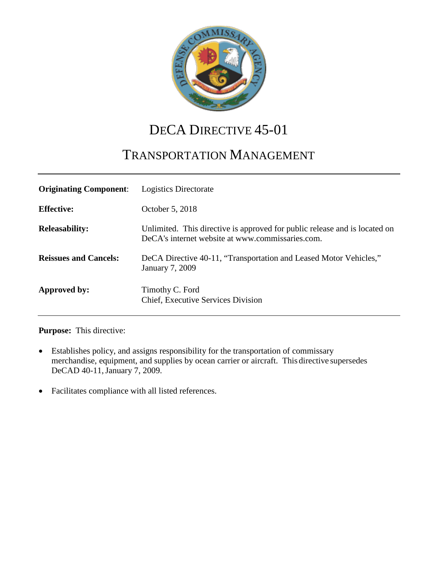

# DECA DIRECTIVE 45-01

## TRANSPORTATION MANAGEMENT

| <b>Originating Component:</b> | Logistics Directorate                                                                                                          |
|-------------------------------|--------------------------------------------------------------------------------------------------------------------------------|
| <b>Effective:</b>             | October 5, 2018                                                                                                                |
| <b>Releasability:</b>         | Unlimited. This directive is approved for public release and is located on<br>DeCA's internet website at www.commissaries.com. |
| <b>Reissues and Cancels:</b>  | DeCA Directive 40-11, "Transportation and Leased Motor Vehicles,"<br>January 7, 2009                                           |
| Approved by:                  | Timothy C. Ford<br>Chief, Executive Services Division                                                                          |

#### **Purpose:** This directive:

- Establishes policy, and assigns responsibility for the transportation of commissary merchandise, equipment, and supplies by ocean carrier or aircraft. This directive supersedes DeCAD 40-11, January 7, 2009.
- Facilitates compliance with all listed references.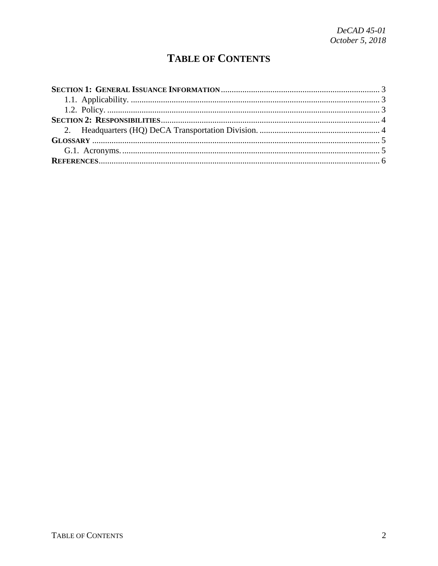## **TABLE OF CONTENTS**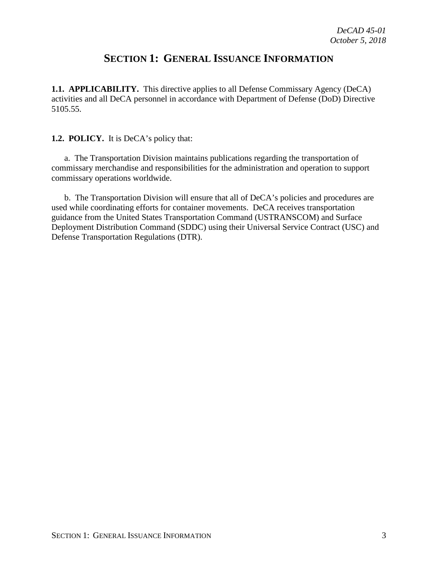## **SECTION 1: GENERAL ISSUANCE INFORMATION**

<span id="page-2-1"></span><span id="page-2-0"></span>**1.1. APPLICABILITY.** This directive applies to all Defense Commissary Agency (DeCA) activities and all DeCA personnel in accordance with Department of Defense (DoD) Directive 5105.55.

#### <span id="page-2-2"></span>**1.2. POLICY.** It is DeCA's policy that:

a. The Transportation Division maintains publications regarding the transportation of commissary merchandise and responsibilities for the administration and operation to support commissary operations worldwide.

b. The Transportation Division will ensure that all of DeCA's policies and procedures are used while coordinating efforts for container movements. DeCA receives transportation guidance from the United States Transportation Command (USTRANSCOM) and Surface Deployment Distribution Command (SDDC) using their Universal Service Contract (USC) and Defense Transportation Regulations (DTR).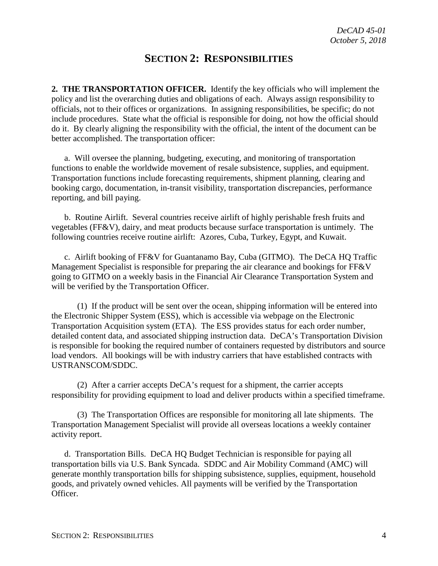## **SECTION 2: RESPONSIBILITIES**

<span id="page-3-1"></span><span id="page-3-0"></span>**2. THE TRANSPORTATION OFFICER.** Identify the key officials who will implement the policy and list the overarching duties and obligations of each. Always assign responsibility to officials, not to their offices or organizations. In assigning responsibilities, be specific; do not include procedures. State what the official is responsible for doing, not how the official should do it. By clearly aligning the responsibility with the official, the intent of the document can be better accomplished. The transportation officer:

a. Will oversee the planning, budgeting, executing, and monitoring of transportation functions to enable the worldwide movement of resale subsistence, supplies, and equipment. Transportation functions include forecasting requirements, shipment planning, clearing and booking cargo, documentation, in-transit visibility, transportation discrepancies, performance reporting, and bill paying.

b. Routine Airlift. Several countries receive airlift of highly perishable fresh fruits and vegetables (FF&V), dairy, and meat products because surface transportation is untimely. The following countries receive routine airlift: Azores, Cuba, Turkey, Egypt, and Kuwait.

c. Airlift booking of FF&V for Guantanamo Bay, Cuba (GITMO). The DeCA HQ Traffic Management Specialist is responsible for preparing the air clearance and bookings for FF&V going to GITMO on a weekly basis in the Financial Air Clearance Transportation System and will be verified by the Transportation Officer.

(1) If the product will be sent over the ocean, shipping information will be entered into the Electronic Shipper System (ESS), which is accessible via webpage on the Electronic Transportation Acquisition system (ETA). The ESS provides status for each order number, detailed content data, and associated shipping instruction data. DeCA's Transportation Division is responsible for booking the required number of containers requested by distributors and source load vendors. All bookings will be with industry carriers that have established contracts with USTRANSCOM/SDDC.

(2) After a carrier accepts DeCA's request for a shipment, the carrier accepts responsibility for providing equipment to load and deliver products within a specified timeframe.

(3) The Transportation Offices are responsible for monitoring all late shipments. The Transportation Management Specialist will provide all overseas locations a weekly container activity report.

d. Transportation Bills. DeCA HQ Budget Technician is responsible for paying all transportation bills via U.S. Bank Syncada. SDDC and Air Mobility Command (AMC) will generate monthly transportation bills for shipping subsistence, supplies, equipment, household goods, and privately owned vehicles. All payments will be verified by the Transportation Officer.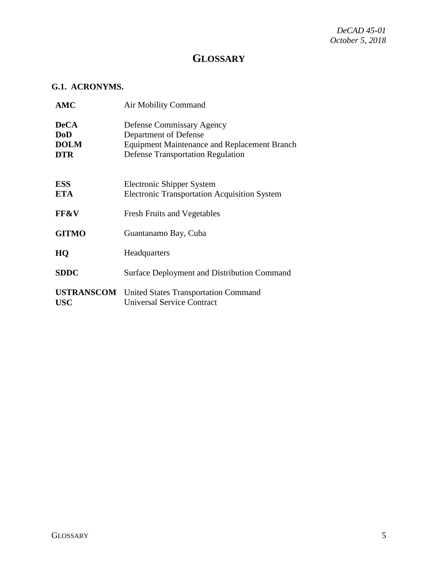## **GLOSSARY**

#### <span id="page-4-1"></span><span id="page-4-0"></span>**G.1. ACRONYMS.**

| <b>AMC</b>                                             | <b>Air Mobility Command</b>                                                                                                                                  |
|--------------------------------------------------------|--------------------------------------------------------------------------------------------------------------------------------------------------------------|
| <b>DeCA</b><br><b>DoD</b><br><b>DOLM</b><br><b>DTR</b> | <b>Defense Commissary Agency</b><br>Department of Defense<br><b>Equipment Maintenance and Replacement Branch</b><br><b>Defense Transportation Regulation</b> |
| <b>ESS</b><br><b>ETA</b>                               | Electronic Shipper System<br><b>Electronic Transportation Acquisition System</b>                                                                             |
| <b>FF&amp;V</b>                                        | <b>Fresh Fruits and Vegetables</b>                                                                                                                           |
| <b>GITMO</b>                                           | Guantanamo Bay, Cuba                                                                                                                                         |
| HQ                                                     | Headquarters                                                                                                                                                 |
| <b>SDDC</b>                                            | <b>Surface Deployment and Distribution Command</b>                                                                                                           |
| <b>USTRANSCOM</b><br><b>USC</b>                        | <b>United States Transportation Command</b><br><b>Universal Service Contract</b>                                                                             |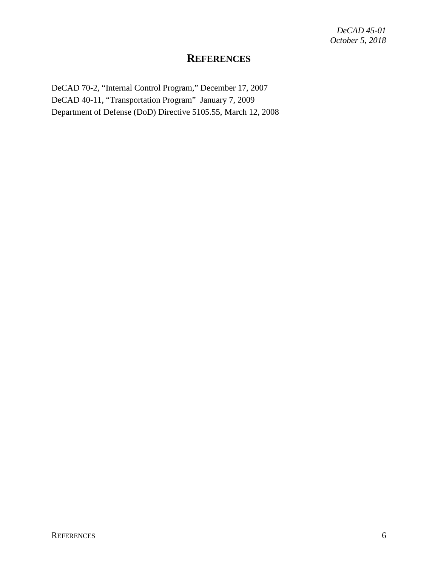### **REFERENCES**

<span id="page-5-0"></span>DeCAD 70-2, "Internal Control Program," December 17, 2007 DeCAD 40-11, "Transportation Program" January 7, 2009 Department of Defense (DoD) Directive 5105.55, March 12, 2008